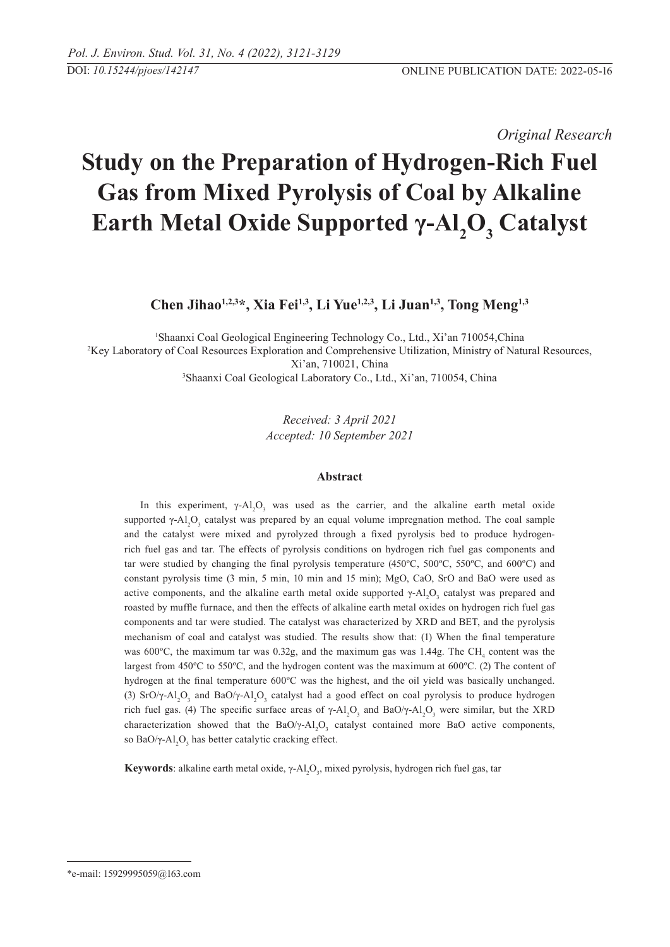## *Original Research*

# **Study on the Preparation of Hydrogen-Rich Fuel Gas from Mixed Pyrolysis of Coal by Alkaline Earth Metal Oxide Supported γ-Al<sub>2</sub>O<sub>3</sub> Catalyst**

**Chen Jihao1,2,3\*, Xia Fei1,3, Li Yue1,2,3, Li Juan1,3, Tong Meng1,3**

 Shaanxi Coal Geological Engineering Technology Co., Ltd., Xi'an 710054,China Key Laboratory of Coal Resources Exploration and Comprehensive Utilization, Ministry of Natural Resources, Xi'an, 710021, China Shaanxi Coal Geological Laboratory Co., Ltd., Xi'an, 710054, China

> *Received: 3 April 2021 Accepted: 10 September 2021*

## **Abstract**

In this experiment,  $\gamma$ -Al<sub>2</sub>O<sub>3</sub> was used as the carrier, and the alkaline earth metal oxide supported  $\gamma$ -Al<sub>2</sub>O<sub>3</sub> catalyst was prepared by an equal volume impregnation method. The coal sample and the catalyst were mixed and pyrolyzed through a fixed pyrolysis bed to produce hydrogenrich fuel gas and tar. The effects of pyrolysis conditions on hydrogen rich fuel gas components and tar were studied by changing the final pyrolysis temperature (450ºC, 500ºC, 550ºC, and 600ºC) and constant pyrolysis time (3 min, 5 min, 10 min and 15 min); MgO, CaO, SrO and BaO were used as active components, and the alkaline earth metal oxide supported  $\gamma$ -Al<sub>2</sub>O<sub>3</sub> catalyst was prepared and roasted by muffle furnace, and then the effects of alkaline earth metal oxides on hydrogen rich fuel gas components and tar were studied. The catalyst was characterized by XRD and BET, and the pyrolysis mechanism of coal and catalyst was studied. The results show that: (1) When the final temperature was 600 $^{\circ}$ C, the maximum tar was 0.32g, and the maximum gas was 1.44g. The CH<sub>4</sub> content was the largest from 450ºC to 550ºC, and the hydrogen content was the maximum at 600ºC. (2) The content of hydrogen at the final temperature 600ºC was the highest, and the oil yield was basically unchanged. (3) SrO/ $\gamma$ -Al<sub>2</sub>O<sub>3</sub> and BaO/ $\gamma$ -Al<sub>2</sub>O<sub>3</sub> catalyst had a good effect on coal pyrolysis to produce hydrogen rich fuel gas. (4) The specific surface areas of  $\gamma$ -Al<sub>2</sub>O<sub>3</sub> and BaO/γ-Al<sub>2</sub>O<sub>3</sub> were similar, but the XRD characterization showed that the  $BaO/\gamma$ -Al<sub>2</sub>O<sub>3</sub> catalyst contained more BaO active components, so BaO/ $\gamma$ -Al<sub>2</sub>O<sub>3</sub> has better catalytic cracking effect.

**Keywords**: alkaline earth metal oxide, γ-Al<sub>2</sub>O<sub>3</sub>, mixed pyrolysis, hydrogen rich fuel gas, tar

<sup>\*</sup>e-mail: 15929995059@163.com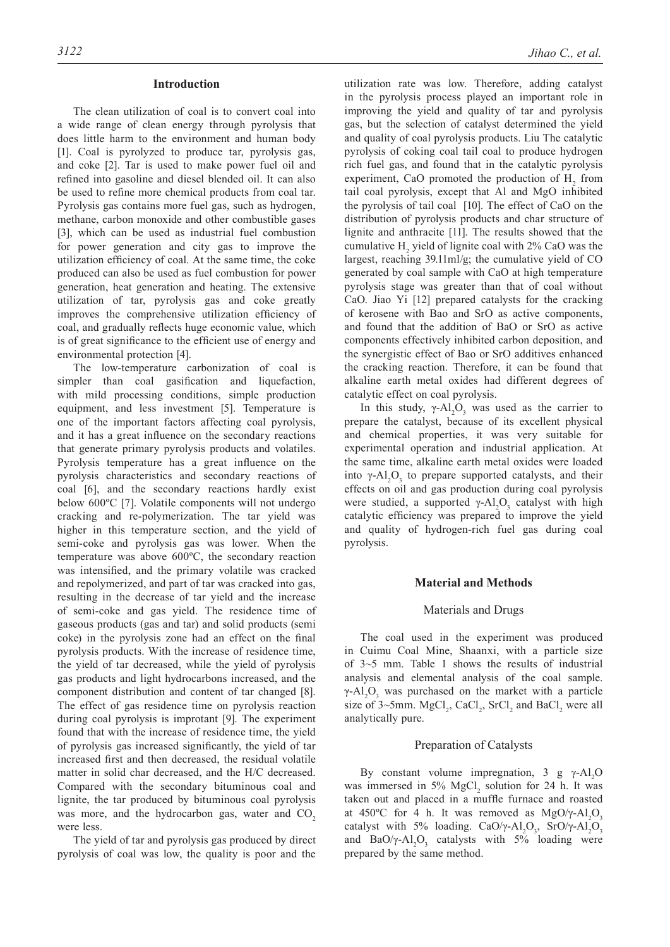#### **Introduction**

The clean utilization of coal is to convert coal into a wide range of clean energy through pyrolysis that does little harm to the environment and human body [1]. Coal is pyrolyzed to produce tar, pyrolysis gas, and coke [2]. Tar is used to make power fuel oil and refined into gasoline and diesel blended oil. It can also be used to refine more chemical products from coal tar. Pyrolysis gas contains more fuel gas, such as hydrogen, methane, carbon monoxide and other combustible gases [3], which can be used as industrial fuel combustion for power generation and city gas to improve the utilization efficiency of coal. At the same time, the coke produced can also be used as fuel combustion for power generation, heat generation and heating. The extensive utilization of tar, pyrolysis gas and coke greatly improves the comprehensive utilization efficiency of coal, and gradually reflects huge economic value, which is of great significance to the efficient use of energy and environmental protection [4].

The low-temperature carbonization of coal is simpler than coal gasification and liquefaction, with mild processing conditions, simple production equipment, and less investment [5]. Temperature is one of the important factors affecting coal pyrolysis, and it has a great influence on the secondary reactions that generate primary pyrolysis products and volatiles. Pyrolysis temperature has a great influence on the pyrolysis characteristics and secondary reactions of coal [6], and the secondary reactions hardly exist below 600ºC [7]. Volatile components will not undergo cracking and re-polymerization. The tar yield was higher in this temperature section, and the yield of semi-coke and pyrolysis gas was lower. When the temperature was above 600ºC, the secondary reaction was intensified, and the primary volatile was cracked and repolymerized, and part of tar was cracked into gas, resulting in the decrease of tar yield and the increase of semi-coke and gas yield. The residence time of gaseous products (gas and tar) and solid products (semi coke) in the pyrolysis zone had an effect on the final pyrolysis products. With the increase of residence time, the yield of tar decreased, while the yield of pyrolysis gas products and light hydrocarbons increased, and the component distribution and content of tar changed [8]. The effect of gas residence time on pyrolysis reaction during coal pyrolysis is improtant [9]. The experiment found that with the increase of residence time, the yield of pyrolysis gas increased significantly, the yield of tar increased first and then decreased, the residual volatile matter in solid char decreased, and the H/C decreased. Compared with the secondary bituminous coal and lignite, the tar produced by bituminous coal pyrolysis was more, and the hydrocarbon gas, water and  $CO<sub>2</sub>$ were less.

The yield of tar and pyrolysis gas produced by direct pyrolysis of coal was low, the quality is poor and the utilization rate was low. Therefore, adding catalyst in the pyrolysis process played an important role in improving the yield and quality of tar and pyrolysis gas, but the selection of catalyst determined the yield and quality of coal pyrolysis products. Liu The catalytic pyrolysis of coking coal tail coal to produce hydrogen rich fuel gas, and found that in the catalytic pyrolysis experiment, CaO promoted the production of  $H_2$  from tail coal pyrolysis, except that Al and MgO inhibited the pyrolysis of tail coal [10]. The effect of CaO on the distribution of pyrolysis products and char structure of lignite and anthracite [11]. The results showed that the cumulative  $H_2$  yield of lignite coal with 2% CaO was the largest, reaching 39.11ml/g; the cumulative yield of CO generated by coal sample with CaO at high temperature pyrolysis stage was greater than that of coal without CaO. Jiao Yi [12] prepared catalysts for the cracking of kerosene with Bao and SrO as active components, and found that the addition of BaO or SrO as active components effectively inhibited carbon deposition, and the synergistic effect of Bao or SrO additives enhanced the cracking reaction. Therefore, it can be found that alkaline earth metal oxides had different degrees of catalytic effect on coal pyrolysis.

In this study,  $\gamma$ -Al<sub>2</sub>O<sub>3</sub> was used as the carrier to prepare the catalyst, because of its excellent physical and chemical properties, it was very suitable for experimental operation and industrial application. At the same time, alkaline earth metal oxides were loaded into  $\gamma$ -Al<sub>2</sub>O<sub>3</sub> to prepare supported catalysts, and their effects on oil and gas production during coal pyrolysis were studied, a supported  $\gamma$ -Al<sub>2</sub>O<sub>3</sub> catalyst with high catalytic efficiency was prepared to improve the yield and quality of hydrogen-rich fuel gas during coal pyrolysis.

#### **Material and Methods**

#### Materials and Drugs

The coal used in the experiment was produced in Cuimu Coal Mine, Shaanxi, with a particle size of 3~5 mm. Table 1 shows the results of industrial analysis and elemental analysis of the coal sample.  $\gamma$ -Al<sub>2</sub>O<sub>3</sub> was purchased on the market with a particle size of  $3 \sim 5$ mm. MgCl<sub>2</sub>, CaCl<sub>2</sub>, SrCl<sub>2</sub> and BaCl<sub>2</sub> were all analytically pure.

#### Preparation of Catalysts

By constant volume impregnation, 3 g γ-Al<sub>2</sub>O was immersed in  $5\%$  MgCl<sub>2</sub> solution for 24 h. It was taken out and placed in a muffle furnace and roasted at 450°C for 4 h. It was removed as  $MgO/\gamma$ - $Al_2O_3$ catalyst with 5% loading. CaO/γ-Al<sub>2</sub>O<sub>3</sub>, SrO/γ-Al<sub>2</sub>O<sub>3</sub> and  $BaO/\gamma-Al_2O_3$  catalysts with 5% loading were prepared by the same method.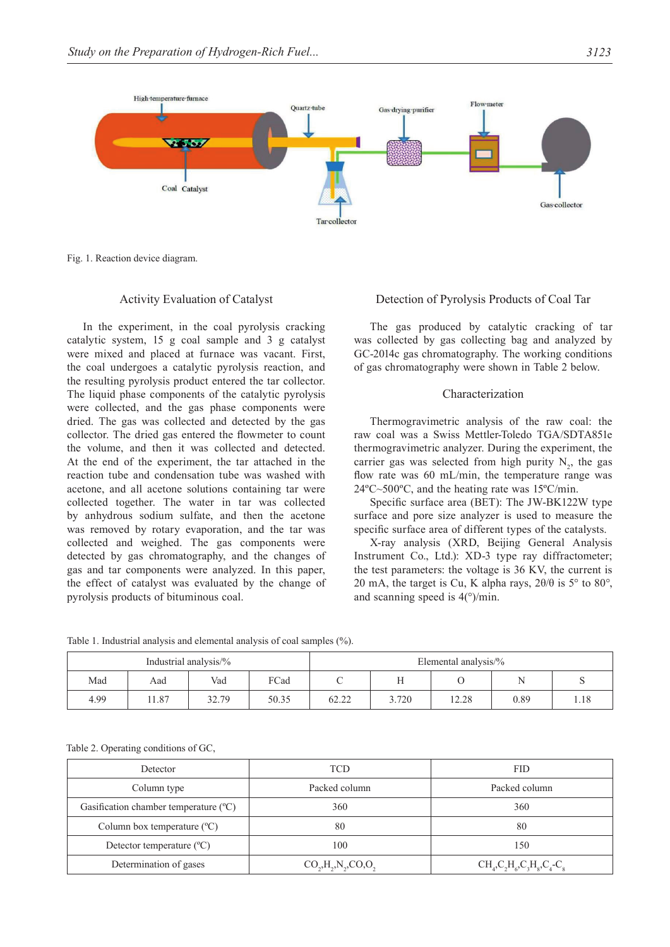

Fig. 1. Reaction device diagram.

#### Activity Evaluation of Catalyst

In the experiment, in the coal pyrolysis cracking catalytic system, 15 g coal sample and 3 g catalyst were mixed and placed at furnace was vacant. First, the coal undergoes a catalytic pyrolysis reaction, and the resulting pyrolysis product entered the tar collector. The liquid phase components of the catalytic pyrolysis were collected, and the gas phase components were dried. The gas was collected and detected by the gas collector. The dried gas entered the flowmeter to count the volume, and then it was collected and detected. At the end of the experiment, the tar attached in the reaction tube and condensation tube was washed with acetone, and all acetone solutions containing tar were collected together. The water in tar was collected by anhydrous sodium sulfate, and then the acetone was removed by rotary evaporation, and the tar was collected and weighed. The gas components were detected by gas chromatography, and the changes of gas and tar components were analyzed. In this paper, the effect of catalyst was evaluated by the change of pyrolysis products of bituminous coal.

#### Detection of Pyrolysis Products of Coal Tar

The gas produced by catalytic cracking of tar was collected by gas collecting bag and analyzed by GC-2014c gas chromatography. The working conditions of gas chromatography were shown in Table 2 below.

#### Characterization

Thermogravimetric analysis of the raw coal: the raw coal was a Swiss Mettler-Toledo TGA/SDTA851e thermogravimetric analyzer. During the experiment, the carrier gas was selected from high purity  $N_2$ , the gas flow rate was 60 mL/min, the temperature range was 24ºC~500ºC, and the heating rate was 15ºC/min.

Specific surface area (BET): The JW-BK122W type surface and pore size analyzer is used to measure the specific surface area of different types of the catalysts.

X-ray analysis (XRD, Beijing General Analysis Instrument Co., Ltd.): XD-3 type ray diffractometer; the test parameters: the voltage is 36 KV, the current is 20 mA, the target is Cu, K alpha rays,  $2\theta/\theta$  is  $5^{\circ}$  to  $80^{\circ}$ , and scanning speed is  $4^{\circ}$ /min.

Table 1. Industrial analysis and elemental analysis of coal samples (%).

| Industrial analysis/% |      |       | Elemental analysis/% |       |       |       |      |      |
|-----------------------|------|-------|----------------------|-------|-------|-------|------|------|
| Mad                   | Aad  | Vad   | FCad                 |       | .,    |       |      |      |
| 4.99                  | 1.87 | 32.79 | 50.35                | 62.22 | 3.720 | 12.28 | 0.89 | 1.18 |

|  |  | Table 2. Operating conditions of GC, |  |
|--|--|--------------------------------------|--|
|--|--|--------------------------------------|--|

| Detector                               | TCD                                                                         | <b>FID</b>                |  |
|----------------------------------------|-----------------------------------------------------------------------------|---------------------------|--|
| Column type                            | Packed column                                                               | Packed column             |  |
| Gasification chamber temperature (°C)  | 360                                                                         | 360                       |  |
| Column box temperature $({}^{\circ}C)$ | 80                                                                          | 80                        |  |
| Detector temperature $({}^{\circ}C)$   | 100                                                                         | 150                       |  |
| Determination of gases                 | $CO_{2}$ , H <sub>2</sub> , N <sub>2</sub> , CO <sub>2</sub> O <sub>2</sub> | $CH_4C_2H_6C_3H_8C_4-C_8$ |  |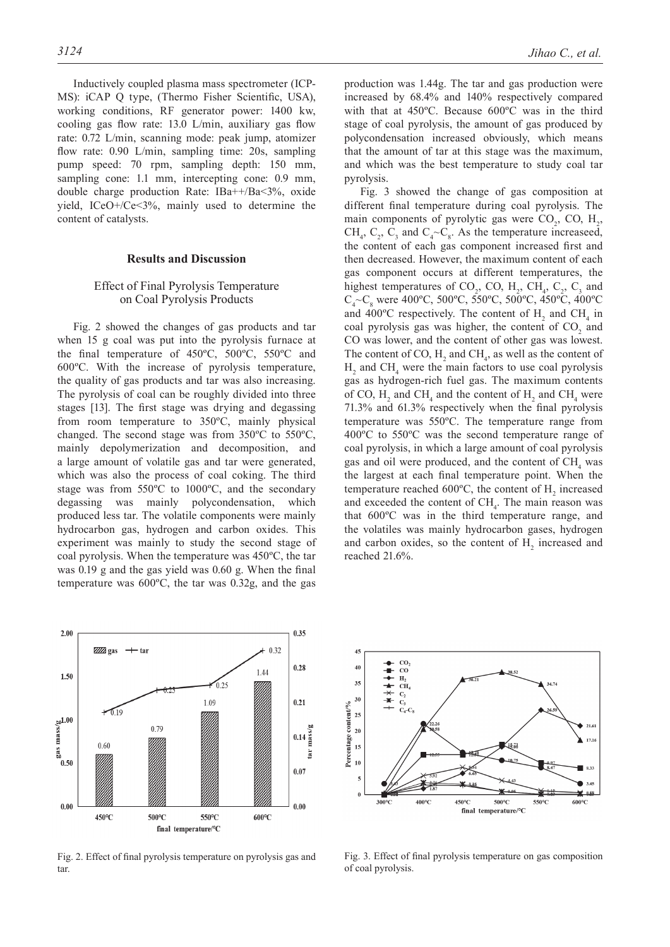Inductively coupled plasma mass spectrometer (ICP-MS): iCAP Q type, (Thermo Fisher Scientific, USA), working conditions, RF generator power: 1400 kw, cooling gas flow rate: 13.0 L/min, auxiliary gas flow rate: 0.72 L/min, scanning mode: peak jump, atomizer flow rate: 0.90 L/min, sampling time: 20s, sampling pump speed: 70 rpm, sampling depth: 150 mm, sampling cone: 1.1 mm, intercepting cone: 0.9 mm, double charge production Rate: IBa++/Ba<3%, oxide yield, ICeO+/Ce<3%, mainly used to determine the content of catalysts.

#### **Results and Discussion**

## Effect of Final Pyrolysis Temperature on Coal Pyrolysis Products

Fig. 2 showed the changes of gas products and tar when 15 g coal was put into the pyrolysis furnace at the final temperature of 450ºC, 500ºC, 550ºC and 600ºC. With the increase of pyrolysis temperature, the quality of gas products and tar was also increasing. The pyrolysis of coal can be roughly divided into three stages [13]. The first stage was drying and degassing from room temperature to 350ºC, mainly physical changed. The second stage was from 350ºC to 550ºC, mainly depolymerization and decomposition, and a large amount of volatile gas and tar were generated, which was also the process of coal coking. The third stage was from 550ºC to 1000ºC, and the secondary degassing was mainly polycondensation, which produced less tar. The volatile components were mainly hydrocarbon gas, hydrogen and carbon oxides. This experiment was mainly to study the second stage of coal pyrolysis. When the temperature was 450ºC, the tar was 0.19 g and the gas yield was 0.60 g. When the final temperature was 600ºC, the tar was 0.32g, and the gas



Fig. 2. Effect of final pyrolysis temperature on pyrolysis gas and tar.

production was 1.44g. The tar and gas production were increased by 68.4% and 140% respectively compared with that at 450ºC. Because 600ºC was in the third stage of coal pyrolysis, the amount of gas produced by polycondensation increased obviously, which means that the amount of tar at this stage was the maximum, and which was the best temperature to study coal tar pyrolysis.

Fig. 3 showed the change of gas composition at different final temperature during coal pyrolysis. The main components of pyrolytic gas were  $CO_2$ ,  $CO$ ,  $H_2$ , CH<sub>4</sub>, C<sub>2</sub>, C<sub>3</sub> and C<sub>4</sub> $\sim$ C<sub>8</sub>. As the temperature increaseed, the content of each gas component increased first and then decreased. However, the maximum content of each gas component occurs at different temperatures, the highest temperatures of  $CO_2$ ,  $CO$ ,  $H_2$ ,  $CH_4$ ,  $C_2$ ,  $C_3$  and  $C_4$ ~ $C_8$  were 400°C, 500°C, 550°C, 500°C, 450°C, 400°C and 400°C respectively. The content of  $H_2$  and CH<sub>4</sub> in coal pyrolysis gas was higher, the content of  $CO<sub>2</sub>$  and CO was lower, and the content of other gas was lowest. The content of CO,  $H_2$  and CH<sub>4</sub>, as well as the content of  $H_2$  and CH<sub>4</sub> were the main factors to use coal pyrolysis gas as hydrogen-rich fuel gas. The maximum contents of CO,  $H_2$  and CH<sub>4</sub> and the content of  $H_2$  and CH<sub>4</sub> were 71.3% and 61.3% respectively when the final pyrolysis temperature was 550ºC. The temperature range from 400ºC to 550ºC was the second temperature range of coal pyrolysis, in which a large amount of coal pyrolysis gas and oil were produced, and the content of  $CH<sub>4</sub>$  was the largest at each final temperature point. When the temperature reached 600 $^{\circ}$ C, the content of H<sub>2</sub> increased and exceeded the content of  $CH<sub>4</sub>$ . The main reason was that 600ºC was in the third temperature range, and the volatiles was mainly hydrocarbon gases, hydrogen and carbon oxides, so the content of  $H_2$  increased and reached 21.6%.



Fig. 3. Effect of final pyrolysis temperature on gas composition of coal pyrolysis.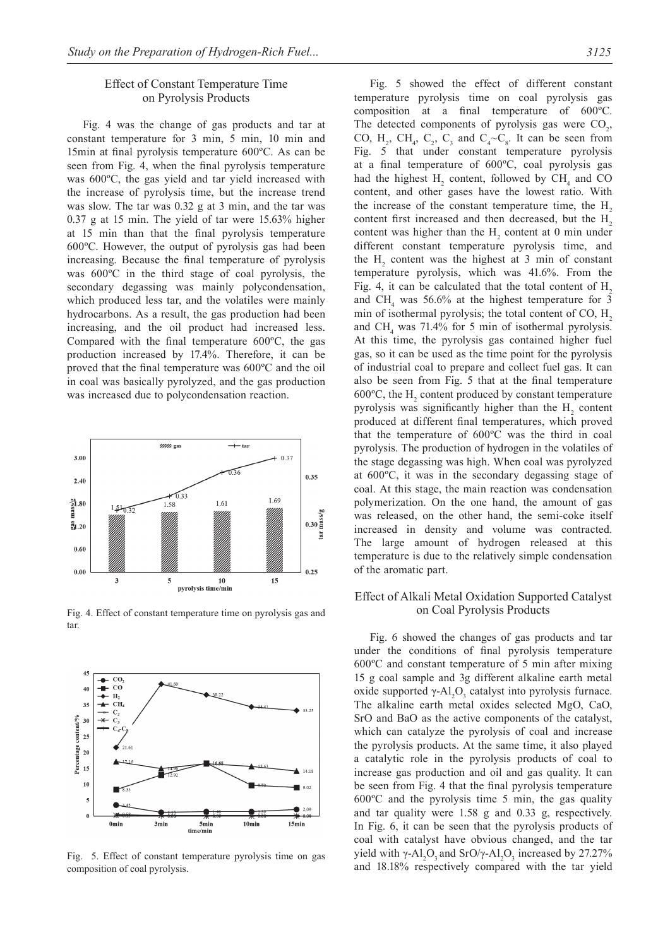## Effect of Constant Temperature Time on Pyrolysis Products

Fig. 4 was the change of gas products and tar at constant temperature for 3 min, 5 min, 10 min and 15min at final pyrolysis temperature 600ºC. As can be seen from Fig. 4, when the final pyrolysis temperature was 600ºC, the gas yield and tar yield increased with the increase of pyrolysis time, but the increase trend was slow. The tar was 0.32 g at 3 min, and the tar was 0.37 g at 15 min. The yield of tar were 15.63% higher at 15 min than that the final pyrolysis temperature 600ºC. However, the output of pyrolysis gas had been increasing. Because the final temperature of pyrolysis was 600ºC in the third stage of coal pyrolysis, the secondary degassing was mainly polycondensation, which produced less tar, and the volatiles were mainly hydrocarbons. As a result, the gas production had been increasing, and the oil product had increased less. Compared with the final temperature 600ºC, the gas production increased by 17.4%. Therefore, it can be proved that the final temperature was 600ºC and the oil in coal was basically pyrolyzed, and the gas production was increased due to polycondensation reaction.



Fig. 4. Effect of constant temperature time on pyrolysis gas and tar.



Fig. 5. Effect of constant temperature pyrolysis time on gas composition of coal pyrolysis.

Fig. 5 showed the effect of different constant temperature pyrolysis time on coal pyrolysis gas composition at a final temperature of 600ºC. The detected components of pyrolysis gas were  $CO<sub>2</sub>$ , CO,  $H_2$ , CH<sub>4</sub>, C<sub>2</sub>, C<sub>3</sub> and C<sub>4</sub> $\sim$ C<sub>8</sub>. It can be seen from Fig. 5 that under constant temperature pyrolysis at a final temperature of 600ºC, coal pyrolysis gas had the highest  $H_2$  content, followed by  $CH_4$  and CO content, and other gases have the lowest ratio. With the increase of the constant temperature time, the  $H<sub>2</sub>$ content first increased and then decreased, but the H<sub>2</sub> content was higher than the  $H_2$  content at 0 min under different constant temperature pyrolysis time, and the  $H<sub>2</sub>$  content was the highest at 3 min of constant temperature pyrolysis, which was 41.6%. From the Fig. 4, it can be calculated that the total content of  $H<sub>2</sub>$ and  $CH<sub>4</sub>$  was 56.6% at the highest temperature for 3 min of isothermal pyrolysis; the total content of  $CO, H$ , and  $CH<sub>4</sub>$  was 71.4% for 5 min of isothermal pyrolysis. At this time, the pyrolysis gas contained higher fuel gas, so it can be used as the time point for the pyrolysis of industrial coal to prepare and collect fuel gas. It can also be seen from Fig. 5 that at the final temperature 600 $^{\circ}$ C, the H<sub>2</sub> content produced by constant temperature pyrolysis was significantly higher than the  $H_2$  content produced at different final temperatures, which proved that the temperature of 600ºC was the third in coal pyrolysis. The production of hydrogen in the volatiles of the stage degassing was high. When coal was pyrolyzed at 600ºC, it was in the secondary degassing stage of coal. At this stage, the main reaction was condensation polymerization. On the one hand, the amount of gas was released, on the other hand, the semi-coke itself increased in density and volume was contracted. The large amount of hydrogen released at this temperature is due to the relatively simple condensation of the aromatic part.

## Effect of Alkali Metal Oxidation Supported Catalyst on Coal Pyrolysis Products

Fig. 6 showed the changes of gas products and tar under the conditions of final pyrolysis temperature 600ºC and constant temperature of 5 min after mixing 15 g coal sample and 3g different alkaline earth metal oxide supported  $γ$ -Al<sub>2</sub>O<sub>3</sub> catalyst into pyrolysis furnace. The alkaline earth metal oxides selected MgO, CaO, SrO and BaO as the active components of the catalyst, which can catalyze the pyrolysis of coal and increase the pyrolysis products. At the same time, it also played a catalytic role in the pyrolysis products of coal to increase gas production and oil and gas quality. It can be seen from Fig. 4 that the final pyrolysis temperature 600ºC and the pyrolysis time 5 min, the gas quality and tar quality were 1.58 g and 0.33 g, respectively. In Fig. 6, it can be seen that the pyrolysis products of coal with catalyst have obvious changed, and the tar yield with  $\gamma$ -Al<sub>2</sub>O<sub>3</sub> and SrO/ $\gamma$ -Al<sub>2</sub>O<sub>3</sub> increased by 27.27% and 18.18% respectively compared with the tar yield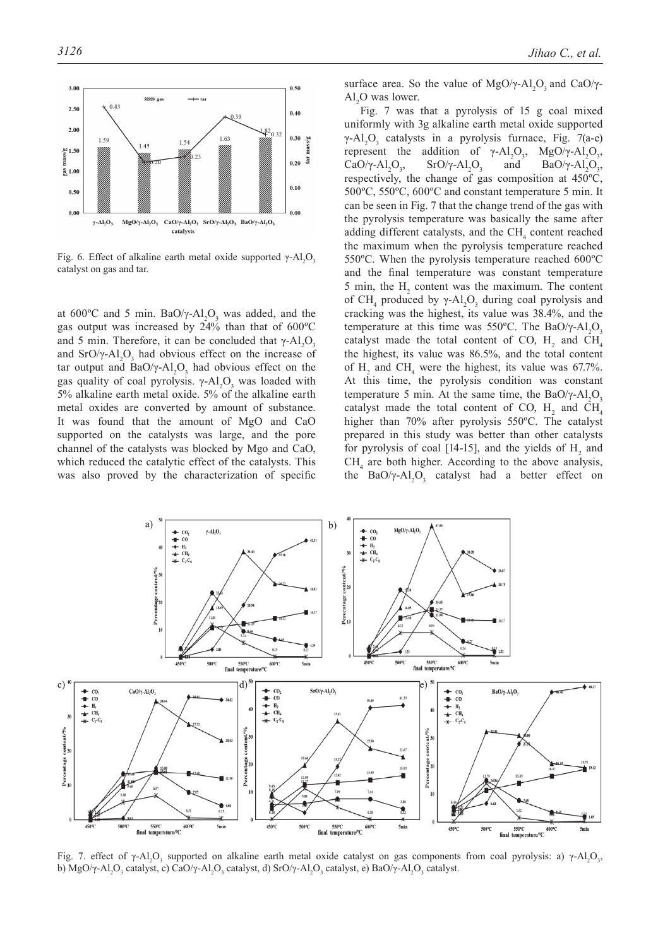

Fig. 6. Effect of alkaline earth metal oxide supported  $γ$ - $Al_2O_3$ catalyst on gas and tar.

at  $600^{\circ}$ C and 5 min. BaO/ $\gamma$ -Al<sub>2</sub>O<sub>3</sub> was added, and the gas output was increased by 24% than that of 600ºC and 5 min. Therefore, it can be concluded that  $\gamma$ -Al<sub>2</sub>O<sub>3</sub> and  $SrO/\gamma$ -Al<sub>2</sub>O<sub>3</sub> had obvious effect on the increase of tar output and  $BaO/\gamma-Al_2O_3$  had obvious effect on the gas quality of coal pyrolysis.  $\gamma$ -Al<sub>2</sub>O<sub>3</sub> was loaded with 5% alkaline earth metal oxide. 5% of the alkaline earth metal oxides are converted by amount of substance. It was found that the amount of MgO and CaO supported on the catalysts was large, and the pore channel of the catalysts was blocked by Mgo and CaO, which reduced the catalytic effect of the catalysts. This was also proved by the characterization of specific

surface area. So the value of MgO/ $\gamma$ -Al<sub>2</sub>O<sub>3</sub> and CaO/ $\gamma$ - $Al<sub>2</sub>O$  was lower.

Fig. 7 was that a pyrolysis of 15 g coal mixed uniformly with 3g alkaline earth metal oxide supported  $\gamma$ -Al<sub>2</sub>O<sub>3</sub> catalysts in a pyrolysis furnace, Fig. 7(a-e) represent the addition of  $\gamma$ -Al<sub>2</sub>O<sub>3</sub>, MgO/ $\gamma$ -Al<sub>2</sub>O<sub>3</sub>, CaO/γ-Al<sub>2</sub>O<sub>3</sub> , SrO/γ-Al<sub>2</sub>O<sub>3</sub> and  $BaO/\gamma-Al_2O_3$ , respectively, the change of gas composition at 450ºC, 500ºC, 550ºC, 600ºC and constant temperature 5 min. It can be seen in Fig. 7 that the change trend of the gas with the pyrolysis temperature was basically the same after adding different catalysts, and the  $\text{CH}_4$  content reached the maximum when the pyrolysis temperature reached 550ºC. When the pyrolysis temperature reached 600ºC and the final temperature was constant temperature 5 min, the  $H_2$  content was the maximum. The content of CH<sub>4</sub> produced by  $\gamma$ -Al<sub>2</sub>O<sub>3</sub> during coal pyrolysis and cracking was the highest, its value was 38.4%, and the temperature at this time was 550°C. The BaO/γ-Al<sub>2</sub>O<sub>3</sub> catalyst made the total content of CO,  $H_2$  and CH<sub>4</sub> the highest, its value was 86.5%, and the total content of  $H_2$  and CH<sub>4</sub> were the highest, its value was 67.7%. At this time, the pyrolysis condition was constant temperature 5 min. At the same time, the BaO/ $\gamma$ -Al<sub>2</sub>O<sub>3</sub> catalyst made the total content of CO,  $H_2$  and CH<sub>4</sub> higher than 70% after pyrolysis 550ºC. The catalyst prepared in this study was better than other catalysts for pyrolysis of coal [14-15], and the yields of  $H_2$  and  $CH<sub>4</sub>$  are both higher. According to the above analysis, the  $BaO/\gamma$ - $Al_2O_3$  catalyst had a better effect on



Fig. 7. effect of γ-Al<sub>2</sub>O<sub>3</sub> supported on alkaline earth metal oxide catalyst on gas components from coal pyrolysis: a) γ-Al<sub>2</sub>O<sub>3</sub>, b) MgO/γ-Al<sub>2</sub>O<sub>3</sub> catalyst, c) CaO/γ-Al<sub>2</sub>O<sub>3</sub> catalyst, d) SrO/γ-Al<sub>2</sub>O<sub>3</sub> catalyst, e) BaO/γ-Al<sub>2</sub>O<sub>3</sub> catalyst.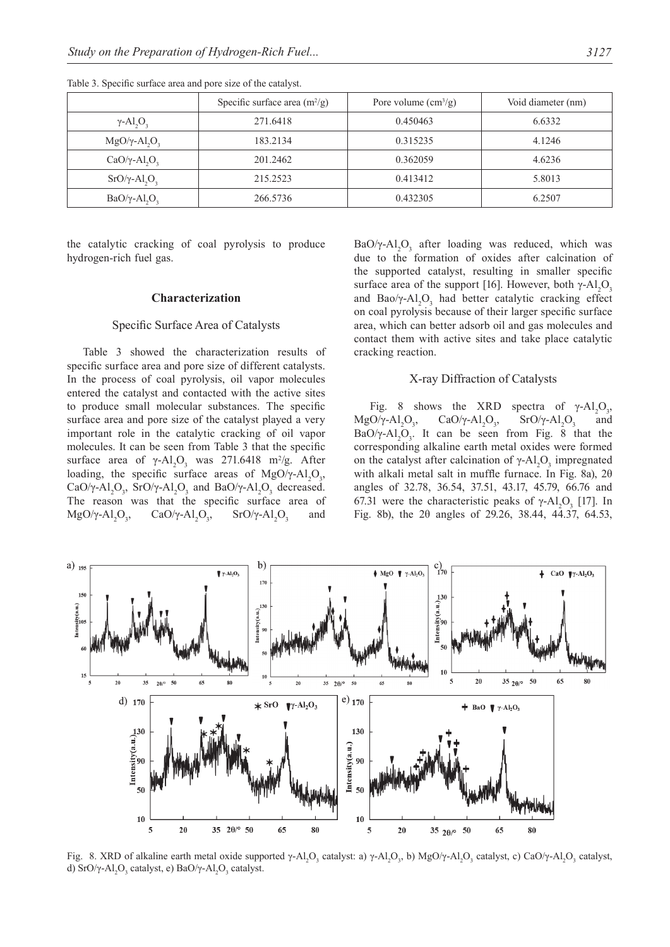|                                              | Specific surface area $(m^2/g)$ | Pore volume $\text{cm}^3\text{/g}$ ) | Void diameter (nm) |
|----------------------------------------------|---------------------------------|--------------------------------------|--------------------|
| $\gamma$ -Al <sub>2</sub> O <sub>3</sub>     | 271.6418                        | 0.450463                             | 6.6332             |
| $MgO/\gamma$ -Al <sub>2</sub> O <sub>3</sub> | 183.2134                        | 0.315235                             | 4.1246             |
| $CaO/\gamma$ -Al <sub>2</sub> O <sub>3</sub> | 201.2462                        | 0.362059                             | 4.6236             |
| $SrO/\gamma$ -Al <sub>2</sub> O <sub>3</sub> | 215.2523                        | 0.413412                             | 5.8013             |
| $BaO/\gamma$ -Al <sub>2</sub> O <sub>3</sub> | 266.5736                        | 0.432305                             | 6.2507             |

Table 3. Specific surface area and pore size of the catalyst.

the catalytic cracking of coal pyrolysis to produce hydrogen-rich fuel gas.

#### **Characterization**

## Specific Surface Area of Catalysts

Table 3 showed the characterization results of specific surface area and pore size of different catalysts. In the process of coal pyrolysis, oil vapor molecules entered the catalyst and contacted with the active sites to produce small molecular substances. The specific surface area and pore size of the catalyst played a very important role in the catalytic cracking of oil vapor molecules. It can be seen from Table 3 that the specific surface area of  $\gamma$ -Al<sub>2</sub>O<sub>3</sub> was 271.6418 m<sup>2</sup>/g. After loading, the specific surface areas of MgO/ $\gamma$ -Al<sub>2</sub>O<sub>3</sub>, CaO/ $\gamma$ -Al<sub>2</sub>O<sub>3</sub>, SrO/ $\gamma$ -Al<sub>2</sub>O<sub>3</sub> and BaO/ $\gamma$ -Al<sub>2</sub>O<sub>3</sub> decreased. The reason was that the specific surface area of  $MgO/\gamma$ -Al<sub>2</sub>O<sub>3</sub> , CaO/γ-Al<sub>2</sub>O<sub>3</sub> ,  $SrO/\gamma-Al_2O_3$ and

BaO/γ-Al<sub>2</sub>O<sub>3</sub> after loading was reduced, which was due to the formation of oxides after calcination of the supported catalyst, resulting in smaller specific surface area of the support [16]. However, both  $\gamma$ -Al<sub>2</sub>O<sub>3</sub> and Bao/ $\gamma$ -Al<sub>2</sub>O<sub>3</sub> had better catalytic cracking effect on coal pyrolysis because of their larger specific surface area, which can better adsorb oil and gas molecules and contact them with active sites and take place catalytic cracking reaction.

## X-ray Diffraction of Catalysts

Fig. 8 shows the XRD  $O_{3}$  $MgO/\gamma$ -Al<sub>2</sub>O<sub>3</sub> , CaO/γ-Al<sub>2</sub>O<sub>3</sub> ,  $SrO/\gamma-A1_2O_3$  and BaO/ $\gamma$ -Al<sub>2</sub>O<sub>3</sub>. It can be seen from Fig. 8 that the corresponding alkaline earth metal oxides were formed on the catalyst after calcination of  $\gamma$ -Al<sub>2</sub>O<sub>3</sub> impregnated with alkali metal salt in muffle furnace. In Fig. 8a), 2θ angles of 32.78, 36.54, 37.51, 43.17, 45.79, 66.76 and 67.31 were the characteristic peaks of γ-Al<sub>2</sub>O<sub>3</sub> [17]. In Fig. 8b), the 2θ angles of 29.26, 38.44, 44.37, 64.53,



Fig. 8. XRD of alkaline earth metal oxide supported γ-Al<sub>2</sub>O<sub>3</sub> catalyst: a) γ-Al<sub>2</sub>O<sub>3</sub>, b) MgO/γ-Al<sub>2</sub>O<sub>3</sub> catalyst, c) CaO/γ-Al<sub>2</sub>O<sub>3</sub> catalyst, d) SrO/γ-Al<sub>2</sub>O<sub>3</sub> catalyst, e) BaO/γ-Al<sub>2</sub>O<sub>3</sub> catalyst.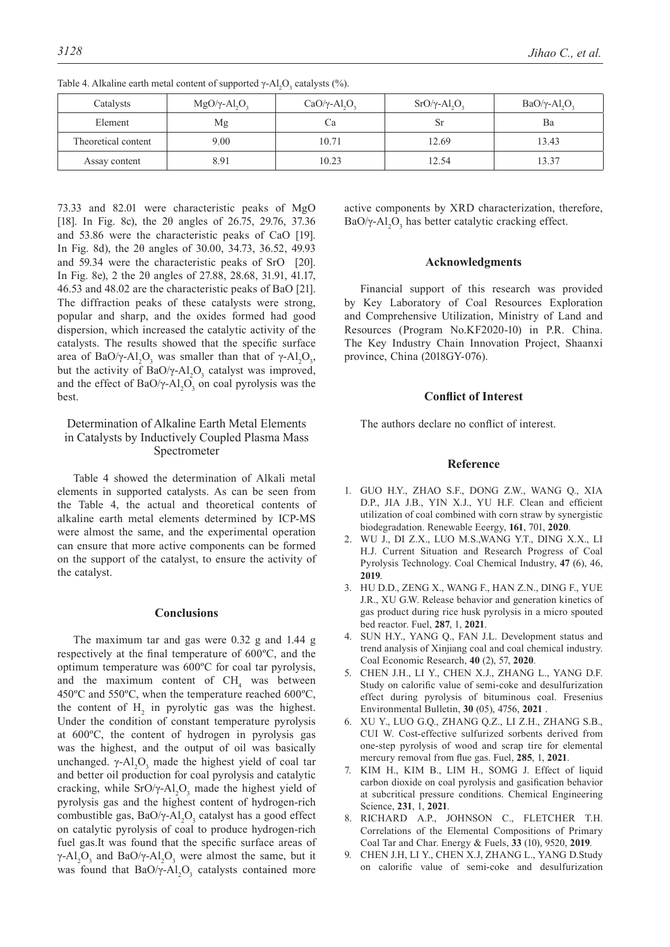| Catalysts           | $MgO/\gamma$ -Al <sub>2</sub> O <sub>3</sub> | $CaO/\gamma$ -Al <sub>2</sub> O <sub>3</sub> | $SrO/\gamma$ -Al <sub>2</sub> O <sub>3</sub> | $BaO/\gamma$ -Al <sub>2</sub> O <sub>3</sub> |
|---------------------|----------------------------------------------|----------------------------------------------|----------------------------------------------|----------------------------------------------|
| Element             | Mg                                           | Ċа                                           | Sr                                           | Ba                                           |
| Theoretical content | 9.00                                         | 10.71                                        | 12.69                                        | 13.43                                        |
| Assay content       | 8.91                                         | 10.23                                        | 12.54                                        | 13.37                                        |

Table 4. Alkaline earth metal content of supported  $\gamma$ -Al<sub>2</sub>O<sub>3</sub> catalysts (%).

73.33 and 82.01 were characteristic peaks of MgO [18]. In Fig. 8c), the 2θ angles of 26.75, 29.76, 37.36 and 53.86 were the characteristic peaks of CaO [19]. In Fig. 8d), the 2θ angles of 30.00, 34.73, 36.52, 49.93 and 59.34 were the characteristic peaks of SrO [20]. In Fig. 8e), 2 the 2θ angles of 27.88, 28.68, 31.91, 41.17, 46.53 and 48.02 are the characteristic peaks of BaO [21]. The diffraction peaks of these catalysts were strong, popular and sharp, and the oxides formed had good dispersion, which increased the catalytic activity of the catalysts. The results showed that the specific surface area of BaO/γ-Al<sub>2</sub>O<sub>3</sub>, was smaller than that of γ-Al<sub>2</sub>O<sub>3</sub>, but the activity of  $BaO/\gamma$ -Al<sub>2</sub>O<sub>3</sub> catalyst was improved, and the effect of  $BaO/\gamma$ -Al<sub>2</sub>O<sub>3</sub> on coal pyrolysis was the best.

## Determination of Alkaline Earth Metal Elements in Catalysts by Inductively Coupled Plasma Mass Spectrometer

Table 4 showed the determination of Alkali metal elements in supported catalysts. As can be seen from the Table 4, the actual and theoretical contents of alkaline earth metal elements determined by ICP-MS were almost the same, and the experimental operation can ensure that more active components can be formed on the support of the catalyst, to ensure the activity of the catalyst.

## **Conclusions**

The maximum tar and gas were 0.32 g and 1.44 g respectively at the final temperature of 600ºC, and the optimum temperature was 600ºC for coal tar pyrolysis, and the maximum content of  $CH<sub>4</sub>$  was between 450ºC and 550ºC, when the temperature reached 600ºC, the content of  $H_2$  in pyrolytic gas was the highest. Under the condition of constant temperature pyrolysis at 600ºC, the content of hydrogen in pyrolysis gas was the highest, and the output of oil was basically unchanged.  $γ$ - $Al_2O_3$  made the highest yield of coal tar and better oil production for coal pyrolysis and catalytic cracking, while SrO/γ-Al<sub>2</sub>O<sub>3</sub> made the highest yield of pyrolysis gas and the highest content of hydrogen-rich combustible gas,  $BaO/\gamma$ -Al<sub>2</sub>O<sub>3</sub> catalyst has a good effect on catalytic pyrolysis of coal to produce hydrogen-rich fuel gas.It was found that the specific surface areas of  $\gamma$ -Al<sub>2</sub>O<sub>3</sub> and BaO/γ-Al<sub>2</sub>O<sub>3</sub> were almost the same, but it was found that  $BaO/\gamma-Al_2O_3$  catalysts contained more active components by XRD characterization, therefore, BaO/γ-Al<sub>2</sub>O<sub>3</sub> has better catalytic cracking effect.

#### **Acknowledgments**

Financial support of this research was provided by Key Laboratory of Coal Resources Exploration and Comprehensive Utilization, Ministry of Land and Resources (Program No.KF2020-10) in P.R. China. The Key Industry Chain Innovation Project, Shaanxi province, China (2018GY-076).

#### **Conflict of Interest**

The authors declare no conflict of interest.

## **Reference**

- 1. GUO H.Y., ZHAO S.F., DONG Z.W., WANG Q., XIA D.P., JIA J.B., YIN X.J., YU H.F. Clean and efficient utilization of coal combined with corn straw by synergistic biodegradation. Renewable Eeergy, **161**, 701, **2020**.
- 2. WU J., DI Z.X., LUO M.S.,WANG Y.T., DING X.X., LI H.J. Current Situation and Research Progress of Coal Pyrolysis Technology. Coal Chemical Industry, **47** (6), 46, **2019**.
- 3. HU D.D., ZENG X., WANG F., HAN Z.N., DING F., YUE J.R., XU G.W. Release behavior and generation kinetics of gas product during rice husk pyrolysis in a micro spouted bed reactor. Fuel, **287**, 1, **2021**.
- 4. SUN H.Y., YANG Q., FAN J.L. Development status and trend analysis of Xinjiang coal and coal chemical industry. Coal Economic Research, **40** (2), 57, **2020**.
- 5. CHEN J.H., LI Y., CHEN X.J., ZHANG L., YANG D.F. Study on calorific value of semi-coke and desulfurization effect during pyrolysis of bituminous coal. Fresenius Environmental Bulletin, **30** (05), 4756, **2021** .
- 6. XU Y., LUO G.Q., ZHANG Q.Z., LI Z.H., ZHANG S.B., CUI W. Cost-effective sulfurized sorbents derived from one-step pyrolysis of wood and scrap tire for elemental mercury removal from flue gas. Fuel, **285**, 1, **2021**.
- 7. KIM H., KIM B., LIM H., SOMG J. Effect of liquid carbon dioxide on coal pyrolysis and gasification behavior at subcritical pressure conditions. Chemical Engineering Science, **231**, 1, **2021**.
- 8. RICHARD A.P., JOHNSON C., FLETCHER T.H. Correlations of the Elemental Compositions of Primary Coal Tar and Char. Energy & Fuels, **33** (10), 9520, **2019**.
- 9. CHEN J.H, LI Y., CHEN X.J, ZHANG L., YANG D.Study on calorific value of semi-coke and desulfurization